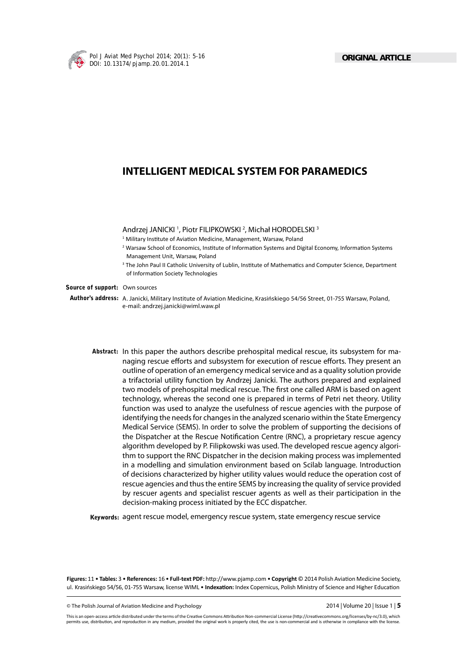

# **INTELLIGENT MEDICAL SYSTEM FOR PARAMEDICS**

Andrzej JANICKI<sup>1</sup>, Piotr FILIPKOWSKI<sup>2</sup>, Michał HORODELSKI<sup>3</sup>

- <sup>1</sup> Military Institute of Aviation Medicine, Management, Warsaw, Poland
- $^2$  Warsaw School of Economics, Institute of Information Systems and Digital Economy, Information Systems Management Unit, Warsaw, Poland
- <sup>3</sup> The John Paul II Catholic University of Lublin, Institute of Mathematics and Computer Science, Department of Information Society Technologies

#### **Source of support:** Own sources

**Author's address:** A. Janicki, Military Institute of Aviation Medicine, Krasińskiego 54/56 Street, 01-755 Warsaw, Poland, e-mail: andrzej.janicki@wiml.waw.pl

**Abstract:** In this paper the authors describe prehospital medical rescue, its subsystem for managing rescue efforts and subsystem for execution of rescue efforts. They present an outline of operation of an emergency medical service and as a quality solution provide a trifactorial utility function by Andrzej Janicki. The authors prepared and explained two models of prehospital medical rescue. The first one called ARM is based on agent technology, whereas the second one is prepared in terms of Petri net theory. Utility function was used to analyze the usefulness of rescue agencies with the purpose of identifying the needs for changes in the analyzed scenario within the State Emergency Medical Service (SEMS). In order to solve the problem of supporting the decisions of the Dispatcher at the Rescue Notification Centre (RNC), a proprietary rescue agency algorithm developed by P. Filipkowski was used. The developed rescue agency algorithm to support the RNC Dispatcher in the decision making process was implemented in a modelling and simulation environment based on Scilab language. Introduction of decisions characterized by higher utility values would reduce the operation cost of rescue agencies and thus the entire SEMS by increasing the quality of service provided by rescuer agents and specialist rescuer agents as well as their participation in the decision-making process initiated by the ECC dispatcher.

**Keywords:** agent rescue model, emergency rescue system, state emergency rescue service

Figures: 11 • Tables: 3 • References: 16 • Full-text PDF: http://www.pjamp.com • Copyright © 2014 Polish Aviation Medicine Society, ul. Krasińskiego 54/56, 01-755 Warsaw, license WIML • Indexation: Index Copernicus, Polish Ministry of Science and Higher Education

© The Polish Journal of Aviation Medicine and Psychology 2014 | Volume 20 | Issue 1 | **5**

This is an open-access article distributed under the terms of the Creative Commons Attribution Non-commercial License (http://creativecommons.org/licenses/by-nc/3.0), which permits use, distribution, and reproduction in any medium, provided the original work is properly cited, the use is non-commercial and is otherwise in compliance with the license.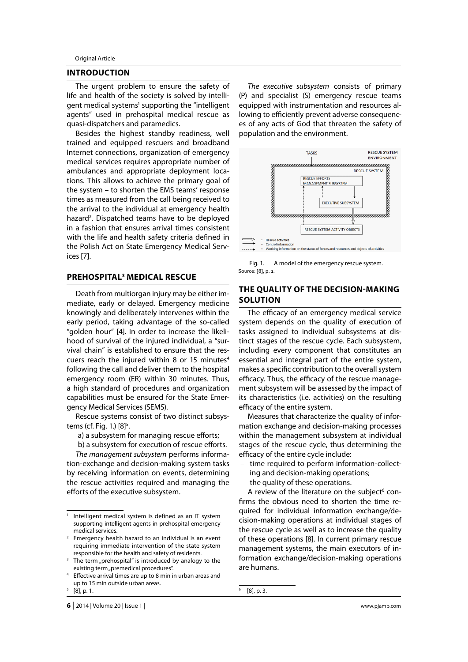Original Article

## **INTRODUCTION**

The urgent problem to ensure the safety of life and health of the society is solved by intelligent medical systems<sup>1</sup> supporting the "intelligent agents" used in prehospital medical rescue as quasi-dispatchers and paramedics.

Besides the highest standby readiness, well trained and equipped rescuers and broadband Internet connections, organization of emergency medical services requires appropriate number of ambulances and appropriate deployment locations. This allows to achieve the primary goal of the system – to shorten the EMS teams' response times as measured from the call being received to the arrival to the individual at emergency health hazard<sup>2</sup>. Dispatched teams have to be deployed in a fashion that ensures arrival times consistent with the life and health safety criteria defined in the Polish Act on State Emergency Medical Services [7].

#### **PREHOSPITAL3 MEDICAL RESCUE**

Death from multiorgan injury may be either immediate, early or delayed. Emergency medicine knowingly and deliberately intervenes within the early period, taking advantage of the so-called "golden hour" [4]. In order to increase the likelihood of survival of the injured individual, a "survival chain" is established to ensure that the rescuers reach the injured within 8 or 15 minutes $4$ following the call and deliver them to the hospital emergency room (ER) within 30 minutes. Thus, a high standard of procedures and organization capabilities must be ensured for the State Emergency Medical Services (SEMS).

Rescue systems consist of two distinct subsystems (cf. Fig. 1.) [8]<sup>5</sup>.

a) a subsystem for managing rescue efforts;

b) a subsystem for execution of rescue efforts.

*The management subsystem* performs information-exchange and decision-making system tasks by receiving information on events, determining the rescue activities required and managing the efforts of the executive subsystem.

*The executive subsystem* consists of primary (P) and specialist (S) emergency rescue teams equipped with instrumentation and resources allowing to efficiently prevent adverse consequences of any acts of God that threaten the safety of population and the environment.



Fig. 1. A model of the emergency rescue system. Source: [8], p. 1.

# **THE QUALITY OF THE DECISION-MAKING SOLUTION**

The efficacy of an emergency medical service system depends on the quality of execution of tasks assigned to individual subsystems at distinct stages of the rescue cycle. Each subsystem, including every component that constitutes an essential and integral part of the entire system, makes a specific contribution to the overall system efficacy. Thus, the efficacy of the rescue management subsystem will be assessed by the impact of its characteristics (i.e. activities) on the resulting efficacy of the entire system.

Measures that characterize the quality of information exchange and decision-making processes within the management subsystem at individual stages of the rescue cycle, thus determining the efficacy of the entire cycle include:

- time required to perform information-collecting and decision-making operations;
- the quality of these operations.

A review of the literature on the subject<sup>6</sup> confirms the obvious need to shorten the time required for individual information exchange/decision-making operations at individual stages of the rescue cycle as well as to increase the quality of these operations [8]. In current primary rescue management systems, the main executors of information exchange/decision-making operations are humans.

6

<sup>1</sup> Intelligent medical system is defined as an IT system supporting intelligent agents in prehospital emergency medical services.

<sup>2</sup> Emergency health hazard to an individual is an event requiring immediate intervention of the state system responsible for the health and safety of residents.

<sup>3</sup> The term "prehospital" is introduced by analogy to the existing term "premedical procedures".

<sup>4</sup> Effective arrival times are up to 8 min in urban areas and up to 15 min outside urban areas.

<sup>5</sup> [8], p. 1.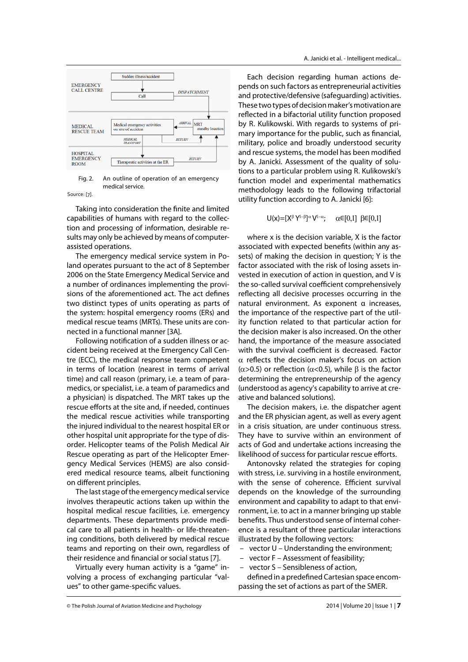

Fig. 2. An outline of operation of an emergency medical service.

Source: [7].

Taking into consideration the finite and limited capabilities of humans with regard to the collection and processing of information, desirable results may only be achieved by means of computerassisted operations.

The emergency medical service system in Poland operates pursuant to the act of 8 September 2006 on the State Emergency Medical Service and a number of ordinances implementing the provisions of the aforementioned act. The act defines two distinct types of units operating as parts of the system: hospital emergency rooms (ERs) and medical rescue teams (MRTs). These units are connected in a functional manner [3A].

Following notification of a sudden illness or accident being received at the Emergency Call Centre (ECC), the medical response team competent in terms of location (nearest in terms of arrival time) and call reason (primary, i.e. a team of paramedics, or specialist, i.e. a team of paramedics and a physician) is dispatched. The MRT takes up the rescue efforts at the site and, if needed, continues the medical rescue activities while transporting the injured individual to the nearest hospital ER or other hospital unit appropriate for the type of disorder. Helicopter teams of the Polish Medical Air Rescue operating as part of the Helicopter Emergency Medical Services (HEMS) are also considered medical resource teams, albeit functioning on different principles.

The last stage of the emergency medical service involves therapeutic actions taken up within the hospital medical rescue facilities, i.e. emergency departments. These departments provide medical care to all patients in health- or life-threatening conditions, both delivered by medical rescue teams and reporting on their own, regardless of their residence and financial or social status [7].

Virtually every human activity is a "game" involving a process of exchanging particular "values" to other game-specific values.

Each decision regarding human actions depends on such factors as entrepreneurial activities and protective/defensive (safeguarding) activities. These two types of decision maker's motivation are reflected in a bifactorial utility function proposed by R. Kulikowski. With regards to systems of primary importance for the public, such as financial, military, police and broadly understood security and rescue systems, the model has been modified by A. Janicki. Assessment of the quality of solutions to a particular problem using R. Kulikowski's function model and experimental mathematics methodology leads to the following trifactorial utility function according to A. Janicki [6]:

> $U(x)=[X^{\beta}Y^{1-\beta}]^{\alpha}V^{1-\alpha}$ ;  $\alpha \in [0,1]$   $\beta \in [0,1]$

where x is the decision variable, X is the factor associated with expected benefits (within any assets) of making the decision in question; Y is the factor associated with the risk of losing assets invested in execution of action in question, and V is the so-called survival coefficient comprehensively reflecting all decisive processes occurring in the natural environment. As exponent α increases, the importance of the respective part of the utility function related to that particular action for the decision maker is also increased. On the other hand, the importance of the measure associated with the survival coefficient is decreased. Factor  $\alpha$  reflects the decision maker's focus on action ( $\alpha$ >0.5) or reflection ( $\alpha$ <0.5), while β is the factor determining the entrepreneurship of the agency (understood as agency's capability to arrive at creative and balanced solutions).

The decision makers, i.e. the dispatcher agent and the ER physician agent, as well as every agent in a crisis situation, are under continuous stress. They have to survive within an environment of acts of God and undertake actions increasing the likelihood of success for particular rescue efforts.

Antonovsky related the strategies for coping with stress, i.e. surviving in a hostile environment, with the sense of coherence. Efficient survival depends on the knowledge of the surrounding environment and capability to adapt to that environment, i.e. to act in a manner bringing up stable benefits. Thus understood sense of internal coherence is a resultant of three particular interactions illustrated by the following vectors:

- vector U Understanding the environment;
- vector F Assessment of feasibility;
- vector S Sensibleness of action,

defined in a predefined Cartesian space encompassing the set of actions as part of the SMER.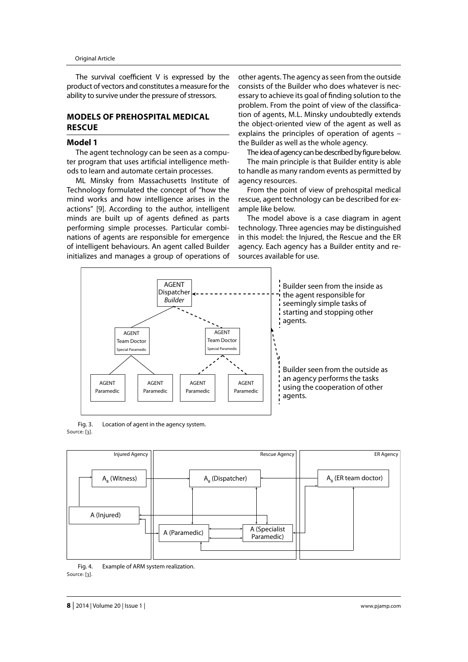The survival coefficient  $V$  is expressed by the product of vectors and constitutes a measure for the ability to survive under the pressure of stressors.

# **MODELS OF PREHOSPITAL MEDICAL RESCUE**

#### **Model 1**

The agent technology can be seen as a computer program that uses artificial intelligence methods to learn and automate certain processes.

ML Minsky from Massachusetts Institute of Technology formulated the concept of "how the mind works and how intelligence arises in the actions" [9]. According to the author, intelligent minds are built up of agents defined as parts performing simple processes. Particular combinations of agents are responsible for emergence of intelligent behaviours. An agent called Builder initializes and manages a group of operations of

other agents. The agency as seen from the outside consists of the Builder who does whatever is necessary to achieve its goal of finding solution to the problem. From the point of view of the classification of agents, M.L. Minsky undoubtedly extends the object-oriented view of the agent as well as explains the principles of operation of agents – the Builder as well as the whole agency.

The idea of agency can be described by figure below. The main principle is that Builder entity is able to handle as many random events as permitted by agency resources.

From the point of view of prehospital medical rescue, agent technology can be described for example like below.

The model above is a case diagram in agent technology. Three agencies may be distinguished in this model: the Injured, the Rescue and the ER agency. Each agency has a Builder entity and resources available for use.



Fig. 3. Location of agent in the agency system. Source: [3].



Fig. 4. Example of ARM system realization. Source: [3].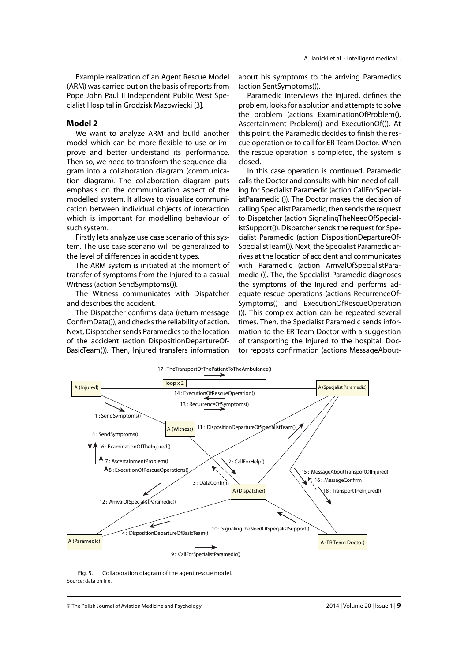Example realization of an Agent Rescue Model (ARM) was carried out on the basis of reports from Pope John Paul II Independent Public West Specialist Hospital in Grodzisk Mazowiecki [3].

#### **Model 2**

We want to analyze ARM and build another model which can be more flexible to use or improve and better understand its performance. Then so, we need to transform the sequence diagram into a collaboration diagram (communication diagram). The collaboration diagram puts emphasis on the communication aspect of the modelled system. It allows to visualize communication between individual objects of interaction which is important for modelling behaviour of such system.

Firstly lets analyze use case scenario of this system. The use case scenario will be generalized to the level of differences in accident types.

The ARM system is initiated at the moment of transfer of symptoms from the Injured to a casual Witness (action SendSymptoms()).

The Witness communicates with Dispatcher and describes the accident.

The Dispatcher confirms data (return message ConfirmData()), and checks the reliability of action. Next, Dispatcher sends Paramedics to the location of the accident (action DispositionDepartureOf-BasicTeam()). Then, Injured transfers information

about his symptoms to the arriving Paramedics (action SentSymptoms()).

Paramedic interviews the Injured, defines the problem, looks for a solution and attempts to solve the problem (actions ExaminationOfProblem(), Ascertainment Problem() and ExecutionOf()). At this point, the Paramedic decides to finish the rescue operation or to call for ER Team Doctor. When the rescue operation is completed, the system is closed.

In this case operation is continued, Paramedic calls the Doctor and consults with him need of calling for Specialist Paramedic (action CallForSpecialistParamedic ()). The Doctor makes the decision of calling Specialist Paramedic, then sends the request to Dispatcher (action SignalingTheNeedOfSpecialistSupport()). Dispatcher sends the request for Specialist Paramedic (action DispositionDepartureOf-SpecialistTeam()). Next, the Specialist Paramedic arrives at the location of accident and communicates with Paramedic (action ArrivalOfSpecialistParamedic ()). The, the Specialist Paramedic diagnoses the symptoms of the Injured and performs adequate rescue operations (actions RecurrenceOf-Symptoms() and ExecutionOfRescueOperation ()). This complex action can be repeated several times. Then, the Specialist Paramedic sends information to the ER Team Doctor with a suggestion of transporting the Injured to the hospital. Doctor reposts confirmation (actions MessageAbout-



Fig. 5. Collaboration diagram of the agent rescue model. Source: data on file.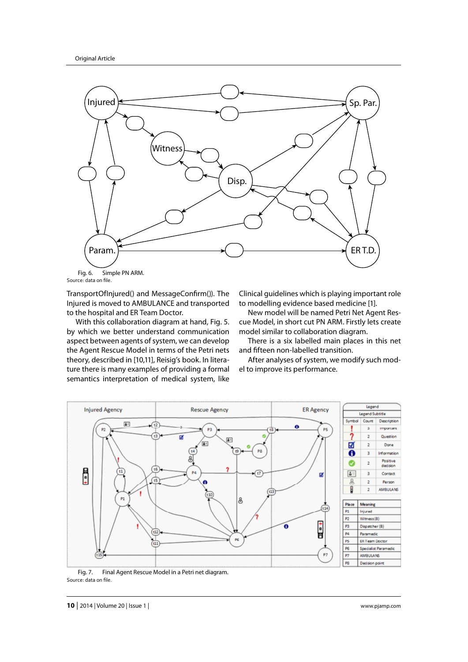

Fig. 6. Simple PN ARM. Source: data on file.

TransportOfInjured() and MessageConfirm()). The Injured is moved to AMBULANCE and transported to the hospital and ER Team Doctor.

With this collaboration diagram at hand, Fig. 5. by which we better understand communication aspect between agents of system, we can develop the Agent Rescue Model in terms of the Petri nets theory, described in [10,11], Reisig's book. In literature there is many examples of providing a formal semantics interpretation of medical system, like

Clinical guidelines which is playing important role to modelling evidence based medicine [1].

New model will be named Petri Net Agent Rescue Model, in short cut PN ARM. Firstly lets create model similar to collaboration diagram.

There is a six labelled main places in this net and fifteen non-labelled transition.

After analyses of system, we modify such model to improve its performance.



Fig. 7. Final Agent Rescue Model in a Petri net diagram. Source: data on file.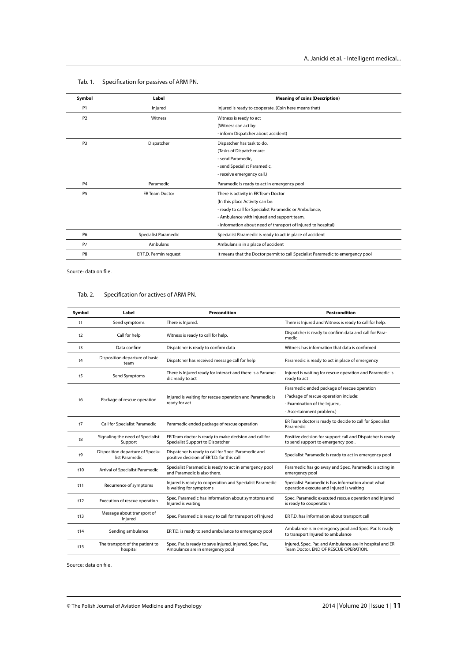| Symbol                       | Label                  | <b>Meaning of coins (Description)</b>                                          |  |  |
|------------------------------|------------------------|--------------------------------------------------------------------------------|--|--|
| P <sub>1</sub>               | Injured                | Injured is ready to cooperate. (Coin here means that)                          |  |  |
| P <sub>2</sub>               | <b>Witness</b>         | Witness is ready to act                                                        |  |  |
|                              |                        | (Witness can act by:                                                           |  |  |
|                              |                        | - inform Dispatcher about accident)                                            |  |  |
| P <sub>3</sub><br>Dispatcher |                        | Dispatcher has task to do.                                                     |  |  |
|                              |                        | (Tasks of Dispatcher are:                                                      |  |  |
|                              |                        | - send Paramedic.                                                              |  |  |
|                              |                        | - send Specialist Paramedic,                                                   |  |  |
|                              |                        | - receive emergency call.)                                                     |  |  |
| P <sub>4</sub>               | Paramedic              | Paramedic is ready to act in emergency pool                                    |  |  |
| P <sub>5</sub>               | <b>ER Team Doctor</b>  | There is activity in ER Team Doctor                                            |  |  |
|                              |                        | (In this place Activity can be:                                                |  |  |
|                              |                        | - ready to call for Specialist Paramedic or Ambulance,                         |  |  |
|                              |                        | - Ambulance with Injured and support team,                                     |  |  |
|                              |                        | - information about need of transport of Injured to hospital)                  |  |  |
| P <sub>6</sub>               | Specialist Paramedic   | Specialist Paramedic is ready to act in place of accident                      |  |  |
| P7                           | Ambulans               | Ambulans is in a place of accident                                             |  |  |
| P <sub>8</sub>               | ER T.D. Permin request | It means that the Doctor permit to call Specialist Paramedic to emergency pool |  |  |

### Tab. 1. Specification for passives of ARM PN.

Source: data on file.

# Tab. 2. Specification for actives of ARM PN.

| Postcondition                                                                                     |
|---------------------------------------------------------------------------------------------------|
| There is Injured and Witness is ready to call for help.                                           |
| Dispatcher is ready to confirm data and call for Para-                                            |
| Witness has information that data is confirmed                                                    |
| Paramedic is ready to act in place of emergency                                                   |
| Injured is waiting for rescue operation and Paramedic is                                          |
| Paramedic ended package of rescue operation                                                       |
| (Package of rescue operation include:                                                             |
|                                                                                                   |
|                                                                                                   |
| ER Team doctor is ready to decide to call for Specialist                                          |
| Positive decision for support call and Dispatcher is ready<br>to send support to emergency pool.  |
| Specialist Paramedic is ready to act in emergency pool                                            |
| Paramedic has go away and Spec. Paramedic is acting in                                            |
| Specialist Paramedic is has information about what<br>operation execute and Injured is waiting    |
| Spec. Paramedic executed rescue operation and Injured                                             |
| ER T.D. has information about transport call                                                      |
| Ambulance is in emergency pool and Spec. Par. Is ready<br>to transport Injured to ambulance       |
| Injured, Spec. Par. and Ambulance are in hospital and ER<br>Team Doctor, END OF RESCUE OPERATION. |
|                                                                                                   |

Source: data on file.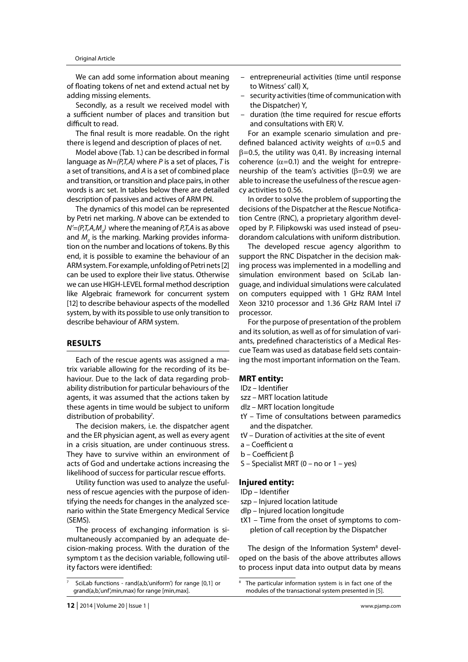We can add some information about meaning of floating tokens of net and extend actual net by adding missing elements.

Secondly, as a result we received model with a sufficient number of places and transition but difficult to read.

The final result is more readable. On the right there is legend and description of places of net.

Model above (Tab. 1.) can be described in formal language as *N=(P,T,A)* where *P* is a set of places, *T* is a set of transitions, and *A* is a set of combined place and transition, or transition and place pairs, in other words is arc set. In tables below there are detailed description of passives and actives of ARM PN.

The dynamics of this model can be represented by Petri net marking. *N* above can be extended to *N'=(P,T,A,M0 )* where the meaning of *P,T,A* is as above and  $M_{_O}$  is the marking. Marking provides information on the number and locations of tokens. By this end, it is possible to examine the behaviour of an ARM system. For example, unfolding of Petri nets [2] can be used to explore their live status. Otherwise we can use HIGH-LEVEL formal method description like Algebraic framework for concurrent system [12] to describe behaviour aspects of the modelled system, by with its possible to use only transition to describe behaviour of ARM system.

## **RESULTS**

Each of the rescue agents was assigned a matrix variable allowing for the recording of its behaviour. Due to the lack of data regarding probability distribution for particular behaviours of the agents, it was assumed that the actions taken by these agents in time would be subject to uniform distribution of probability<sup>7</sup>.

The decision makers, i.e. the dispatcher agent and the ER physician agent, as well as every agent in a crisis situation, are under continuous stress. They have to survive within an environment of acts of God and undertake actions increasing the likelihood of success for particular rescue efforts.

Utility function was used to analyze the usefulness of rescue agencies with the purpose of identifying the needs for changes in the analyzed scenario within the State Emergency Medical Service (SEMS).

The process of exchanging information is simultaneously accompanied by an adequate decision-making process. With the duration of the symptom t as the decision variable, following utility factors were identified:

- entrepreneurial activities (time until response to Witness' call) X,
- security activities (time of communication with the Dispatcher) Y,
- $-$  duration (the time required for rescue efforts and consultations with ER) V.

For an example scenario simulation and predefined balanced activity weights of  $\alpha$ =0.5 and  $\beta$ =0.5, the utility was 0,41. By increasing internal coherence ( $\alpha$ =0.1) and the weight for entrepreneurship of the team's activities ( $β=0.9$ ) we are able to increase the usefulness of the rescue agency activities to 0.56.

In order to solve the problem of supporting the decisions of the Dispatcher at the Rescue Notification Centre (RNC), a proprietary algorithm developed by P. Filipkowski was used instead of pseudorandom calculations with uniform distribution.

The developed rescue agency algorithm to support the RNC Dispatcher in the decision making process was implemented in a modelling and simulation environment based on SciLab language, and individual simulations were calculated on computers equipped with 1 GHz RAM Intel Xeon 3210 processor and 1.36 GHz RAM Intel i7 processor.

For the purpose of presentation of the problem and its solution, as well as of for simulation of variants, predefined characteristics of a Medical Rescue Team was used as database field sets containing the most important information on the Team.

### **MRT entity:**

- IDz Identifier
- szz MRT location latitude
- dlz MRT location longitude
- tY Time of consultations between paramedics and the dispatcher.
- tV Duration of activities at the site of event
- a Coefficient α
- b Coefficient β
- S Specialist MRT (0 no or 1 yes)

#### **Injured entity:**

- IDp Identifier
- szp Injured location latitude
- dlp Injured location longitude
- tX1 Time from the onset of symptoms to completion of call reception by the Dispatcher

The design of the Information System<sup>8</sup> developed on the basis of the above attributes allows to process input data into output data by means

<sup>7</sup> SciLab functions - rand(a,b,'uniform') for range [0,1] or grand(a,b,'unf',min,max) for range [min,max].

<sup>8</sup> The particular information system is in fact one of the modules of the transactional system presented in [5].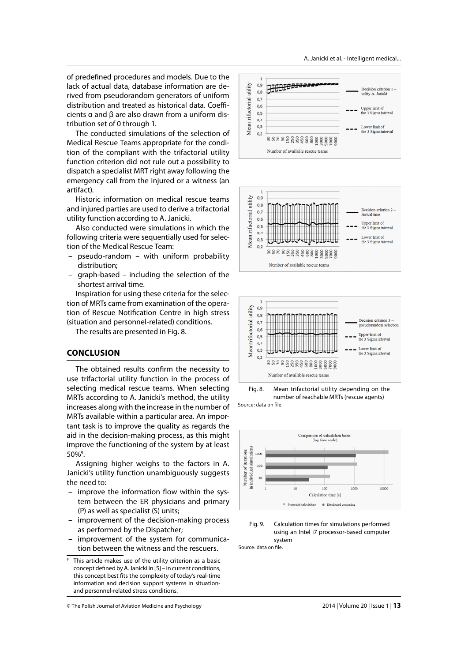of predefined procedures and models. Due to the lack of actual data, database information are derived from pseudorandom generators of uniform distribution and treated as historical data. Coefficients α and β are also drawn from a uniform distribution set of 0 through 1.

The conducted simulations of the selection of Medical Rescue Teams appropriate for the condition of the compliant with the trifactorial utility function criterion did not rule out a possibility to dispatch a specialist MRT right away following the emergency call from the injured or a witness (an artifact).

Historic information on medical rescue teams and injured parties are used to derive a trifactorial utility function according to A. Janicki.

Also conducted were simulations in which the following criteria were sequentially used for selection of the Medical Rescue Team:

- pseudo-random with uniform probability distribution;
- graph-based including the selection of the shortest arrival time.

Inspiration for using these criteria for the selection of MRTs came from examination of the operation of Rescue Notification Centre in high stress (situation and personnel-related) conditions.

The results are presented in Fig. 8.

## **CONCLUSION**

The obtained results confirm the necessity to use trifactorial utility function in the process of selecting medical rescue teams. When selecting MRTs according to A. Janicki's method, the utility increases along with the increase in the number of MRTs available within a particular area. An important task is to improve the quality as regards the aid in the decision-making process, as this might improve the functioning of the system by at least 50%9 .

Assigning higher weighs to the factors in A. Janicki's utility function unambiguously suggests the need to:

- $-$  improve the information flow within the system between the ER physicians and primary (P) as well as specialist (S) units;
- improvement of the decision-making process as performed by the Dispatcher;
- improvement of the system for communication between the witness and the rescuers.

A. Janicki et al. - Intelligent medical...







Fig. 8. Mean trifactorial utility depending on the number of reachable MRTs (rescue agents) Source: data on file.





Source: data on file.

<sup>&</sup>lt;sup>9</sup> This article makes use of the utility criterion as a basic concept defined by A. Janicki in [5] - in current conditions, this concept best fits the complexity of today's real-time information and decision support systems in situationand personnel-related stress conditions.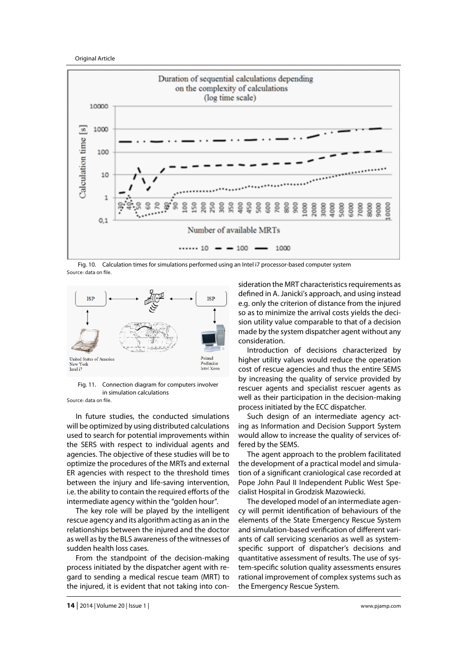Original Article



Fig. 10. Calculation times for simulations performed using an Intel i7 processor-based computer system Source: data on file.



Fig. 11. Connection diagram for computers involver in simulation calculations Source: data on file.

In future studies, the conducted simulations will be optimized by using distributed calculations used to search for potential improvements within the SERS with respect to individual agents and agencies. The objective of these studies will be to optimize the procedures of the MRTs and external ER agencies with respect to the threshold times between the injury and life-saving intervention, i.e. the ability to contain the required efforts of the intermediate agency within the "golden hour".

The key role will be played by the intelligent rescue agency and its algorithm acting as an in the relationships between the injured and the doctor as well as by the BLS awareness of the witnesses of sudden health loss cases.

From the standpoint of the decision-making process initiated by the dispatcher agent with regard to sending a medical rescue team (MRT) to the injured, it is evident that not taking into consideration the MRT characteristics requirements as defined in A. Janicki's approach, and using instead e.g. only the criterion of distance from the injured so as to minimize the arrival costs yields the decision utility value comparable to that of a decision made by the system dispatcher agent without any consideration.

Introduction of decisions characterized by higher utility values would reduce the operation cost of rescue agencies and thus the entire SEMS by increasing the quality of service provided by rescuer agents and specialist rescuer agents as well as their participation in the decision-making process initiated by the ECC dispatcher.

Such design of an intermediate agency acting as Information and Decision Support System would allow to increase the quality of services offered by the SEMS.

The agent approach to the problem facilitated the development of a practical model and simulation of a significant craniological case recorded at Pope John Paul II Independent Public West Specialist Hospital in Grodzisk Mazowiecki.

The developed model of an intermediate agency will permit identification of behaviours of the elements of the State Emergency Rescue System and simulation-based verification of different variants of call servicing scenarios as well as systemspecific support of dispatcher's decisions and quantitative assessment of results. The use of system-specific solution quality assessments ensures rational improvement of complex systems such as the Emergency Rescue System.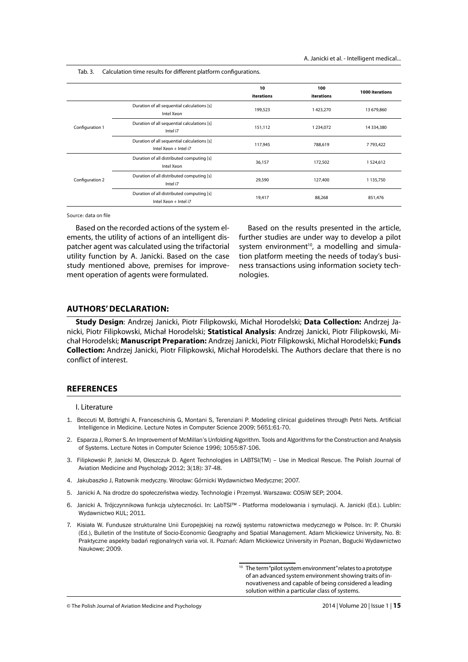Tab. 3. Calculation time results for different platform configurations.

|                 |                                                                      | 10<br>iterations | 100<br>iterations | 1000 iterations |
|-----------------|----------------------------------------------------------------------|------------------|-------------------|-----------------|
| Configuration 1 | Duration of all sequential calculations [s]<br>Intel Xeon            | 199,523          | 1423,270          | 13 679,860      |
|                 | Duration of all sequential calculations [s]<br>Intel i7              | 151,112          | 1 234,072         | 14 334,380      |
|                 | Duration of all sequential calculations [s]<br>Intel Xeon + Intel i7 | 117.945          | 788,619           | 7793,422        |
| Configuration 2 | Duration of all distributed computing [s]<br>Intel Xeon              | 36,157           | 172,502           | 1524,612        |
|                 | Duration of all distributed computing [s]<br>Intel i7                | 29,590           | 127,400           | 1135,750        |
|                 | Duration of all distributed computing [s]<br>Intel Xeon + Intel i7   | 19,417           | 88,268            | 851,476         |

Source: data on file

Based on the recorded actions of the system elements, the utility of actions of an intelligent dispatcher agent was calculated using the trifactorial utility function by A. Janicki. Based on the case study mentioned above, premises for improvement operation of agents were formulated.

Based on the results presented in the article, further studies are under way to develop a pilot system environment<sup>10</sup>, a modelling and simulation platform meeting the needs of today's business transactions using information society technologies.

### **AUTHORS' DECLARATION:**

**Study Design**: Andrzej Janicki, Piotr Filipkowski, Michał Horodelski; **Data Collection:** Andrzej Janicki, Piotr Filipkowski, Michał Horodelski; **Statistical Analysis**: Andrzej Janicki, Piotr Filipkowski, Michał Horodelski; **Manuscript Preparation:** Andrzej Janicki, Piotr Filipkowski, Michał Horodelski; **Funds Collection:** Andrzej Janicki, Piotr Filipkowski, Michał Horodelski. The Authors declare that there is no conflict of interest.

#### **REFERENCES**

I. Literature

- 1. Beccuti M, Bottrighi A, Franceschinis G, Montani S, Terenziani P. Modeling clinical guidelines through Petri Nets. Artificial Intelligence in Medicine. Lecture Notes in Computer Science 2009; 5651:61-70.
- 2. Esparza J, Romer S. An Improvement of McMillan's Unfolding Algorithm. Tools and Algorithms for the Construction and Analysis of Systems. Lecture Notes in Computer Science 1996; 1055:87-106.
- 3. Filipkowski P, Janicki M, Oleszczuk D. Agent Technologies in LABTSI(TM) Use in Medical Rescue. The Polish Journal of Aviation Medicine and Psychology 2012; 3(18): 37-48.
- 4. Jakubaszko J, Ratownik medyczny. Wrocław: Górnicki Wydawnictwo Medyczne; 2007.
- 5. Janicki A. Na drodze do społeczeństwa wiedzy. Technologie i Przemysł. Warszawa: COSiW SEP; 2004.
- 6. Janicki A. Trójczynnikowa funkcja użyteczności. In: LabTSI™ Platforma modelowania i symulacji. A. Janicki (Ed.). Lublin: Wydawnictwo KUL; 2011.
- 7. Kisiała W. Fundusze strukturalne Unii Europejskiej na rozwój systemu ratownictwa medycznego w Polsce. In: P. Churski (Ed.), Bulletin of the Institute of Socio-Economic Geography and Spatial Management. Adam Mickiewicz University, No. 8: Praktyczne aspekty badań regionalnych varia vol. II. Poznań: Adam Mickiewicz University in Poznan, Bogucki Wydawnictwo Naukowe; 2009.

 $10$  The term "pilot system environment" relates to a prototype of an advanced system environment showing traits of innovativeness and capable of being considered a leading solution within a particular class of systems.

© The Polish Journal of Aviation Medicine and Psychology 2014 | Volume 20 | Issue 1 | **15**